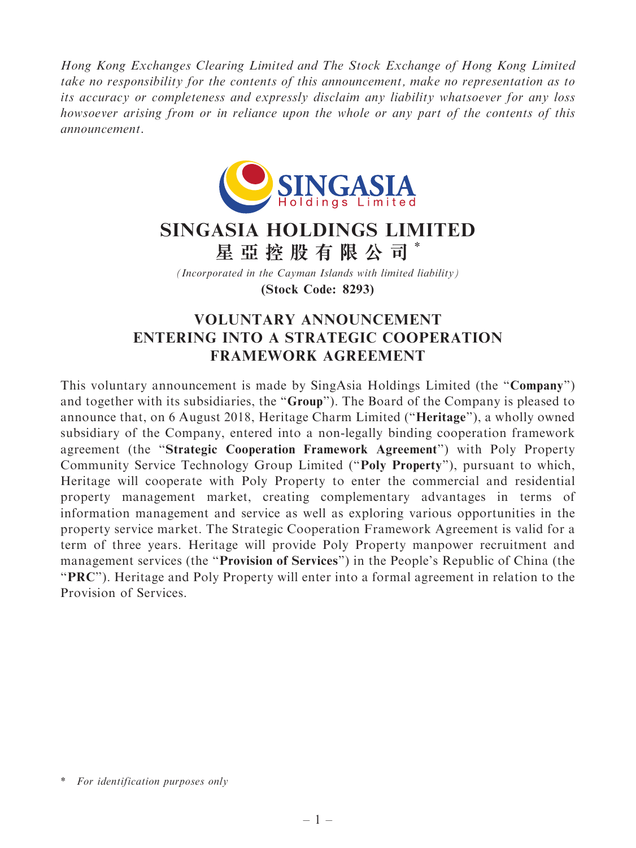Hong Kong Exchanges Clearing Limited and The Stock Exchange of Hong Kong Limited take no responsibility for the contents of this announcement, make no representation as to its accuracy or completeness and expressly disclaim any liability whatsoever for any loss howsoever arising from or in reliance upon the whole or any part of the contents of this announcement.



## SINGASIA HOLDINGS LIMITED 星 亞 控 股 有 限 公 司 \*

(Incorporated in the Cayman Islands with limited liability) (Stock Code: 8293)

## VOLUNTARY ANNOUNCEMENT ENTERING INTO A STRATEGIC COOPERATION FRAMEWORK AGREEMENT

This voluntary announcement is made by SingAsia Holdings Limited (the ''Company'') and together with its subsidiaries, the ''Group''). The Board of the Company is pleased to announce that, on 6 August 2018, Heritage Charm Limited (''Heritage''), a wholly owned subsidiary of the Company, entered into a non-legally binding cooperation framework agreement (the ''Strategic Cooperation Framework Agreement'') with Poly Property Community Service Technology Group Limited (''Poly Property''), pursuant to which, Heritage will cooperate with Poly Property to enter the commercial and residential property management market, creating complementary advantages in terms of information management and service as well as exploring various opportunities in the property service market. The Strategic Cooperation Framework Agreement is valid for a term of three years. Heritage will provide Poly Property manpower recruitment and management services (the ''Provision of Services'') in the People's Republic of China (the "PRC"). Heritage and Poly Property will enter into a formal agreement in relation to the Provision of Services.

<sup>\*</sup> For identification purposes only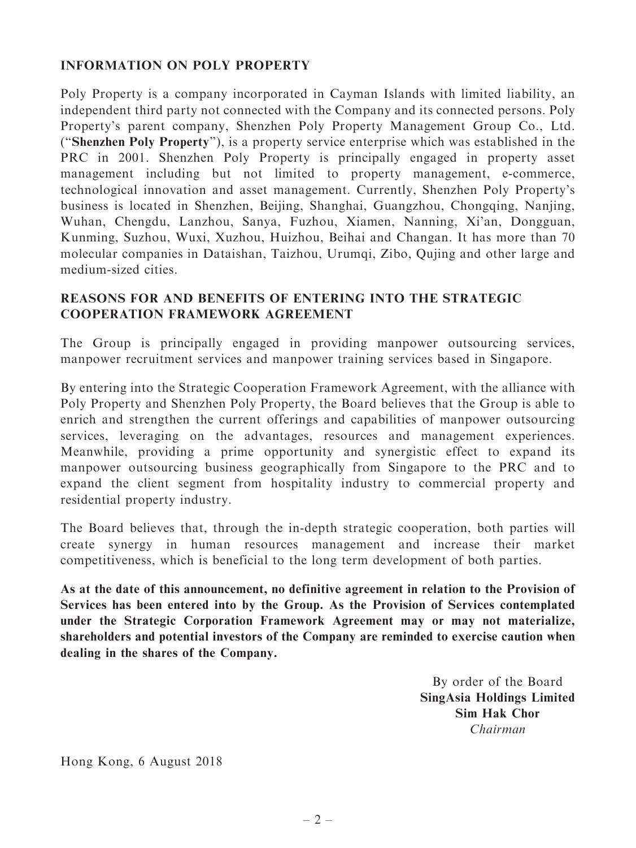## INFORMATION ON POLY PROPERTY

Poly Property is a company incorporated in Cayman Islands with limited liability, an independent third party not connected with the Company and its connected persons. Poly Property's parent company, Shenzhen Poly Property Management Group Co., Ltd. (''Shenzhen Poly Property''), is a property service enterprise which was established in the PRC in 2001. Shenzhen Poly Property is principally engaged in property asset management including but not limited to property management, e-commerce, technological innovation and asset management. Currently, Shenzhen Poly Property's business is located in Shenzhen, Beijing, Shanghai, Guangzhou, Chongqing, Nanjing, Wuhan, Chengdu, Lanzhou, Sanya, Fuzhou, Xiamen, Nanning, Xi'an, Dongguan, Kunming, Suzhou, Wuxi, Xuzhou, Huizhou, Beihai and Changan. It has more than 70 molecular companies in Dataishan, Taizhou, Urumqi, Zibo, Qujing and other large and medium-sized cities.

## REASONS FOR AND BENEFITS OF ENTERING INTO THE STRATEGIC COOPERATION FRAMEWORK AGREEMENT

The Group is principally engaged in providing manpower outsourcing services, manpower recruitment services and manpower training services based in Singapore.

By entering into the Strategic Cooperation Framework Agreement, with the alliance with Poly Property and Shenzhen Poly Property, the Board believes that the Group is able to enrich and strengthen the current offerings and capabilities of manpower outsourcing services, leveraging on the advantages, resources and management experiences. Meanwhile, providing a prime opportunity and synergistic effect to expand its manpower outsourcing business geographically from Singapore to the PRC and to expand the client segment from hospitality industry to commercial property and residential property industry.

The Board believes that, through the in-depth strategic cooperation, both parties will create synergy in human resources management and increase their market competitiveness, which is beneficial to the long term development of both parties.

As at the date of this announcement, no definitive agreement in relation to the Provision of Services has been entered into by the Group. As the Provision of Services contemplated under the Strategic Corporation Framework Agreement may or may not materialize, shareholders and potential investors of the Company are reminded to exercise caution when dealing in the shares of the Company.

> By order of the Board SingAsia Holdings Limited Sim Hak Chor Chairman

Hong Kong, 6 August 2018